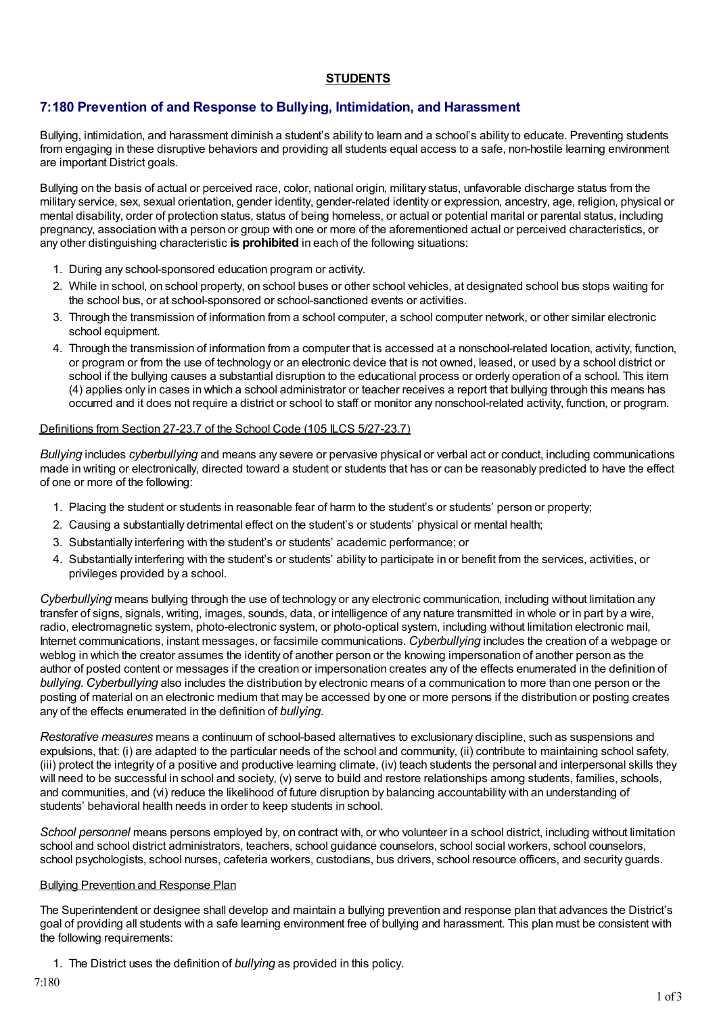## **STUDENTS**

# **7:180 Prevention of and Response to Bullying, Intimidation, and Harassment**

Bullying, intimidation, and harassment diminish a student's ability to learn and a school's ability to educate. Preventing students from engaging in these disruptive behaviors and providing all students equal access to a safe, non-hostile learning environment are important District goals.

Bullying on the basis of actual or perceived race, color, national origin, military status, unfavorable discharge status from the military service, sex, sexual orientation, gender identity, gender-related identity or expression, ancestry, age, religion, physical or mental disability, order of protection status, status of being homeless, or actual or potential marital or parental status, including pregnancy, association with a person or group with one or more of the aforementioned actual or perceived characteristics, or any other distinguishing characteristic **is prohibited** in each of the following situations:

- 1. During any school-sponsored education program or activity.
- 2. While in school, on school property, on school buses or other school vehicles, at designated school bus stops waiting for the school bus, or at school-sponsored or school-sanctioned events or activities.
- 3. Through the transmission of information from a school computer, a school computer network, or other similar electronic school equipment.
- 4. Through the transmission of information from a computer that is accessed at a nonschool-related location, activity, function, or program or from the use of technology or an electronic device that is not owned, leased, or used by a school district or school if the bullying causes a substantial disruption to the educational process or orderly operation of a school. This item (4) applies only in cases in which a school administrator or teacher receives a report that bullying through this means has occurred and it does not require a district or school to staff or monitor any nonschool-related activity, function, or program.

### Definitions from Section 27-23.7 of the School Code (105 ILCS 5/27-23.7)

*Bullying* includes *cyberbullying* and means any severe or pervasive physical or verbal act or conduct, including communications made in writing or electronically, directed toward a student or students that has or can be reasonably predicted to have the effect of one or more of the following:

- 1. Placing the student or students in reasonable fear of harm to the student's or students' person or property;
- 2. Causing a substantially detrimental effect on the student's or students' physical or mental health;
- 3. Substantially interfering with the student's or students' academic performance; or
- 4. Substantially interfering with the student's or students' ability to participate in or benefit from the services, activities, or privileges provided by a school.

*Cyberbullying* means bullying through the use of technology or any electronic communication, including without limitation any transfer of signs, signals, writing, images, sounds, data, or intelligence of any nature transmitted in whole or in part by a wire, radio, electromagnetic system, photo-electronic system, or photo-optical system, including without limitation electronic mail, Internet communications, instant messages, or facsimile communications. *Cyberbullying* includes the creation of a webpage or weblog in which the creator assumes the identity of another person or the knowing impersonation of another person as the author of posted content or messages if the creation or impersonation creates any of the effects enumerated in the definition of *bullying*. *Cyberbullying* also includes the distribution by electronic means of a communication to more than one person or the posting of material on an electronic medium that may be accessed by one or more persons if the distribution or posting creates any of the effects enumerated in the definition of *bullying*.

*Restorative measures* means a continuum of school-based alternatives to exclusionary discipline, such as suspensions and expulsions, that: (i) are adapted to the particular needs of the school and community, (ii) contribute to maintaining school safety, (iii) protect the integrity of a positive and productive learning climate, (iv) teach students the personal and interpersonal skills they will need to be successful in school and society, (v) serve to build and restore relationships among students, families, schools, and communities, and (vi) reduce the likelihood of future disruption by balancing accountability with an understanding of students' behavioral health needs in order to keep students in school.

*School personnel* means persons employed by, on contract with, or who volunteer in a school district, including without limitation school and school district administrators, teachers, school guidance counselors, school social workers, school counselors, school psychologists, school nurses, cafeteria workers, custodians, bus drivers, school resource officers, and security guards.

#### Bullying Prevention and Response Plan

The Superintendent or designee shall develop and maintain a bullying prevention and response plan that advances the District's goal of providing all students with a safe learning environment free of bullying and harassment. This plan must be consistent with the following requirements:

1. The District uses the definition of *bullying* as provided in this policy.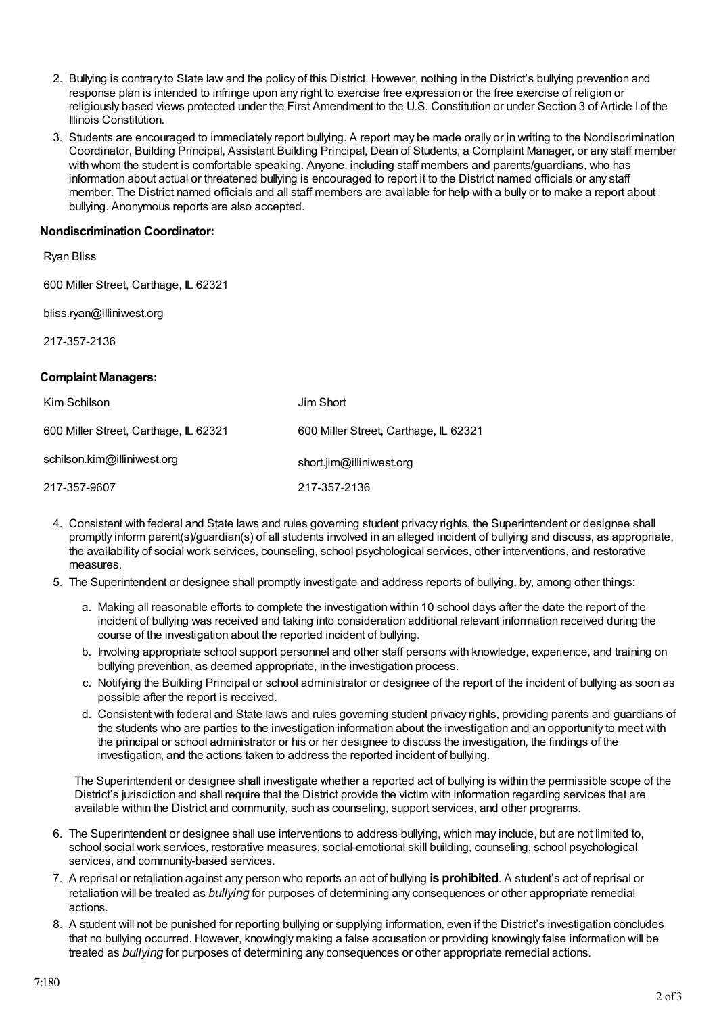- 2. Bullying is contrary to State law and the policy of this District. However, nothing in the District's bullying prevention and response plan is intended to infringe upon any right to exercise free expression or the free exercise of religion or religiously based views protected under the First Amendment to the U.S. Constitution or under Section 3 of Article I of the Illinois Constitution.
- 3. Students are encouraged to immediately report bullying. A report may be made orally or in writing to the Nondiscrimination Coordinator, Building Principal, Assistant Building Principal, Dean of Students, a Complaint Manager, or any staff member with whom the student is comfortable speaking. Anyone, including staff members and parents/guardians, who has information about actual or threatened bullying is encouraged to report it to the District named officials or any staff member. The District named officials and all staff members are available for help with a bully or to make a report about bullying. Anonymous reports are also accepted.

### **Nondiscrimination Coordinator:**

| <b>Ryan Bliss</b>                     |                                       |
|---------------------------------------|---------------------------------------|
| 600 Miller Street, Carthage, IL 62321 |                                       |
| bliss.ryan@illiniwest.org             |                                       |
| 217-357-2136                          |                                       |
|                                       |                                       |
| <b>Complaint Managers:</b>            |                                       |
| Kim Schilson                          | Jim Short                             |
| 600 Miller Street, Carthage, IL 62321 | 600 Miller Street, Carthage, IL 62321 |

217-357-9607 217-357-2136

- 4. Consistent with federal and State laws and rules governing student privacy rights, the Superintendent or designee shall promptly inform parent(s)/guardian(s) of all students involved in an alleged incident of bullying and discuss, as appropriate, the availability of social work services, counseling, school psychological services, other interventions, and restorative measures.
- 5. The Superintendent or designee shall promptly investigate and address reports of bullying, by, among other things:
	- a. Making all reasonable efforts to complete the investigation within 10 school days after the date the report of the incident of bullying was received and taking into consideration additional relevant information received during the course of the investigation about the reported incident of bullying.
	- b. Involving appropriate school support personnel and other staff persons with knowledge, experience, and training on bullying prevention, as deemed appropriate, in the investigation process.
	- c. Notifying the Building Principal or school administrator or designee of the report of the incident of bullying as soon as possible after the report is received.
	- d. Consistent with federal and State laws and rules governing student privacy rights, providing parents and guardians of the students who are parties to the investigation information about the investigation and an opportunity to meet with the principal or school administrator or his or her designee to discuss the investigation, the findings of the investigation, and the actions taken to address the reported incident of bullying.

The Superintendent or designee shall investigate whether a reported act of bullying is within the permissible scope of the District's jurisdiction and shall require that the District provide the victim with information regarding services that are available within the District and community, such as counseling, support services, and other programs.

- 6. The Superintendent or designee shall use interventions to address bullying, which may include, but are not limited to, school social work services, restorative measures, social-emotional skill building, counseling, school psychological services, and community-based services.
- 7. A reprisal or retaliation against any person who reports an act of bullying **is prohibited**. A student's act of reprisal or retaliation will be treated as *bullying* for purposes of determining any consequences or other appropriate remedial actions.
- 8. A student will not be punished for reporting bullying or supplying information, even if the District's investigation concludes that no bullying occurred. However, knowingly making a false accusation or providing knowingly false information will be treated as *bullying* for purposes of determining any consequences or other appropriate remedial actions.